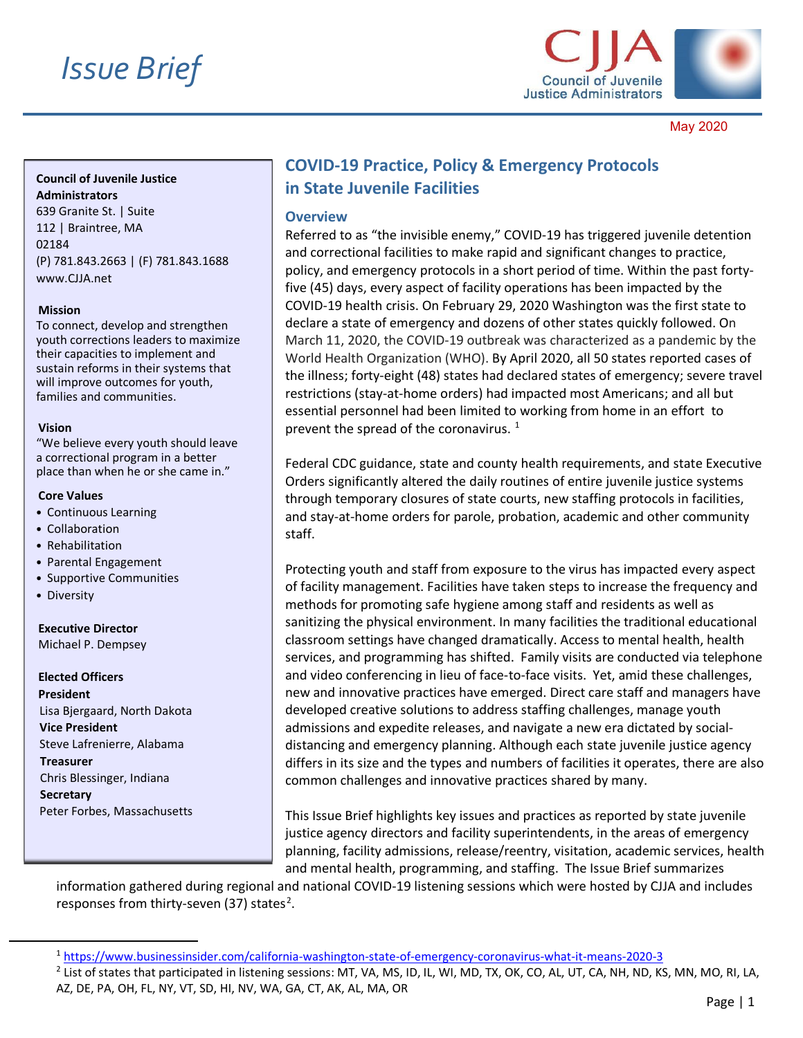

May 2020

### **Council of Juvenile Justice Administrators**

639 Granite St. | Suite 112 | Braintree, MA 02184 (P) 781.843.2663 | (F) 781.843.1688 www.CIIA.net

#### **Mission**

To connect, develop and strengthen youth corrections leaders to maximize their capacities to implement and sustain reforms in their systems that will improve outcomes for youth, families and communities.

#### **Vision**

"We believe every youth should leave a correctional program in a better place than when he or she came in."

#### **Core Values**

- Continuous Learning
- Collaboration
- Rehabilitation
- Parental Engagement
- Supportive Communities
- Diversity

# **Executive Director**

Michael P. Dempsey

#### **Elected Officers President**

Lisa Bjergaard, North Dakota **Vice President** Steve Lafrenierre, Alabama **Treasurer** Chris Blessinger, Indiana **Secretary** Peter Forbes, Massachusetts

# **COVID-19 Practice, Policy & Emergency Protocols in State Juvenile Facilities**

#### **Overview**

Referred to as "the invisible enemy," COVID-19 has triggered juvenile detention and correctional facilities to make rapid and significant changes to practice, policy, and emergency protocols in a short period of time. Within the past fortyfive (45) days, every aspect of facility operations has been impacted by the COVID-19 health crisis. On February 29, 2020 Washington was the first state to declare a state of emergency and dozens of other states quickly followed. On March 11, 2020, the COVID-19 outbreak was characterized as a pandemic by the World Health Organization (WHO). By April 2020, all 50 states reported cases of the illness; forty-eight (48) states had declared states of emergency; severe travel restrictions (stay-at-home orders) had impacted most Americans; and all but essential personnel had been limited to working from home in an effort to prevent the spread of the coronavirus.  $^1$  $^1$ 

Federal CDC guidance, state and county health requirements, and state Executive Orders significantly altered the daily routines of entire juvenile justice systems through temporary closures of state courts, new staffing protocols in facilities, and stay-at-home orders for parole, probation, academic and other community staff.

Protecting youth and staff from exposure to the virus has impacted every aspect of facility management. Facilities have taken steps to increase the frequency and methods for promoting safe hygiene among staff and residents as well as sanitizing the physical environment. In many facilities the traditional educational classroom settings have changed dramatically. Access to mental health, health services, and programming has shifted. Family visits are conducted via telephone and video conferencing in lieu of face-to-face visits. Yet, amid these challenges, new and innovative practices have emerged. Direct care staff and managers have developed creative solutions to address staffing challenges, manage youth admissions and expedite releases, and navigate a new era dictated by socialdistancing and emergency planning. Although each state juvenile justice agency differs in its size and the types and numbers of facilities it operates, there are also common challenges and innovative practices shared by many.

This Issue Brief highlights key issues and practices as reported by state juvenile justice agency directors and facility superintendents, in the areas of emergency planning, facility admissions, release/reentry, visitation, academic services, health and mental health, programming, and staffing. The Issue Brief summarizes

information gathered during regional and national COVID-19 listening sessions which were hosted by CJJA and includes responses from thirty-seven (37) states<sup>[2](#page-0-1)</sup>.

<span id="page-0-0"></span><sup>1</sup> <https://www.businessinsider.com/california-washington-state-of-emergency-coronavirus-what-it-means-2020-3>

<span id="page-0-1"></span><sup>&</sup>lt;sup>2</sup> List of states that participated in listening sessions: MT, VA, MS, ID, IL, WI, MD, TX, OK, CO, AL, UT, CA, NH, ND, KS, MN, MO, RI, LA, AZ, DE, PA, OH, FL, NY, VT, SD, HI, NV, WA, GA, CT, AK, AL, MA, OR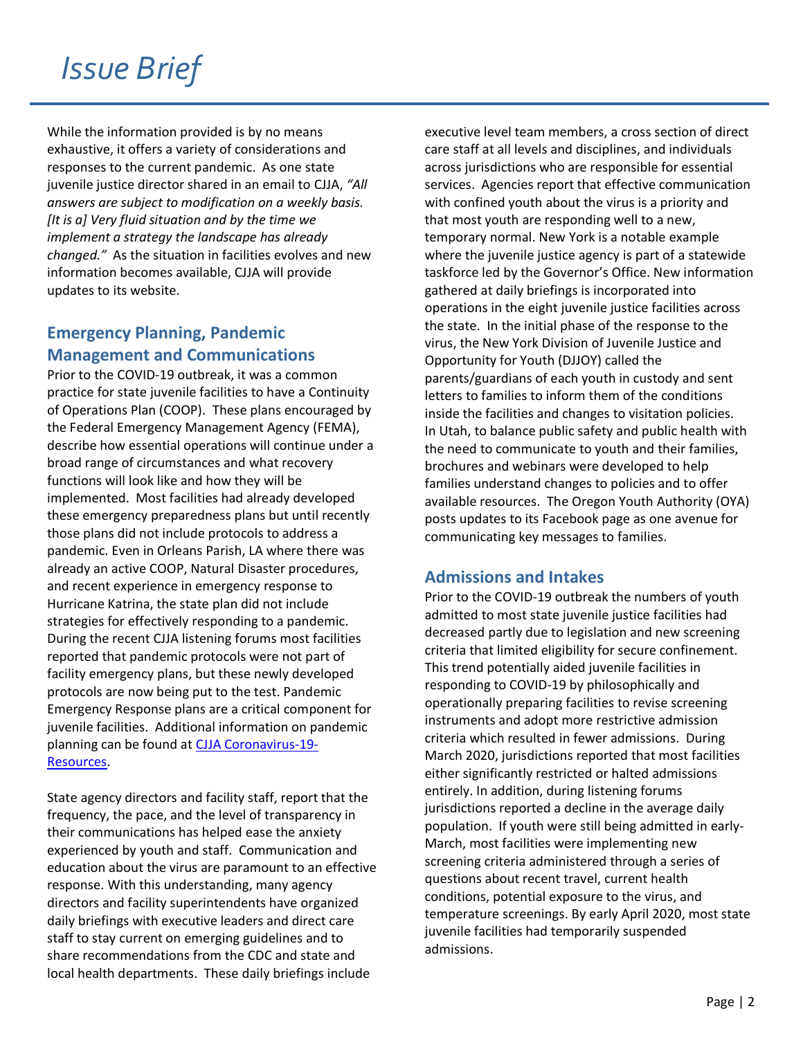While the information provided is by no means exhaustive, it offers a variety of considerations and responses to the current pandemic. As one state juvenile justice director shared in an email to CJJA, *"All answers are subject to modification on a weekly basis. [It is a] Very fluid situation and by the time we implement a strategy the landscape has already changed."* As the situation in facilities evolves and new information becomes available, CJJA will provide updates to its website.

## **Emergency Planning, Pandemic Management and Communications**

Prior to the COVID-19 outbreak, it was a common practice for state juvenile facilities to have a Continuity of Operations Plan (COOP). These plans encouraged by the Federal Emergency Management Agency (FEMA), describe how essential operations will continue under a broad range of circumstances and what recovery functions will look like and how they will be implemented. Most facilities had already developed these emergency preparedness plans but until recently those plans did not include protocols to address a pandemic. Even in Orleans Parish, LA where there was already an active COOP, Natural Disaster procedures, and recent experience in emergency response to Hurricane Katrina, the state plan did not include strategies for effectively responding to a pandemic. During the recent CJJA listening forums most facilities reported that pandemic protocols were not part of facility emergency plans, but these newly developed protocols are now being put to the test. Pandemic Emergency Response plans are a critical component for juvenile facilities. Additional information on pandemic planning can be found at [CJJA Coronavirus-19-](http://cjja.net/coronavirus-19-resources/) [Resources.](http://cjja.net/coronavirus-19-resources/)

State agency directors and facility staff, report that the frequency, the pace, and the level of transparency in their communications has helped ease the anxiety experienced by youth and staff. Communication and education about the virus are paramount to an effective response. With this understanding, many agency directors and facility superintendents have organized daily briefings with executive leaders and direct care staff to stay current on emerging guidelines and to share recommendations from the CDC and state and local health departments. These daily briefings include

executive level team members, a cross section of direct care staff at all levels and disciplines, and individuals across jurisdictions who are responsible for essential services. Agencies report that effective communication with confined youth about the virus is a priority and that most youth are responding well to a new, temporary normal. New York is a notable example where the juvenile justice agency is part of a statewide taskforce led by the Governor's Office. New information gathered at daily briefings is incorporated into operations in the eight juvenile justice facilities across the state. In the initial phase of the response to the virus, the New York Division of Juvenile Justice and Opportunity for Youth (DJJOY) called the parents/guardians of each youth in custody and sent letters to families to inform them of the conditions inside the facilities and changes to visitation policies. In Utah, to balance public safety and public health with the need to communicate to youth and their families, brochures and webinars were developed to help families understand changes to policies and to offer available resources. The Oregon Youth Authority (OYA) posts updates to its Facebook page as one avenue for communicating key messages to families.

## **Admissions and Intakes**

Prior to the COVID-19 outbreak the numbers of youth admitted to most state juvenile justice facilities had decreased partly due to legislation and new screening criteria that limited eligibility for secure confinement. This trend potentially aided juvenile facilities in responding to COVID-19 by philosophically and operationally preparing facilities to revise screening instruments and adopt more restrictive admission criteria which resulted in fewer admissions. During March 2020, jurisdictions reported that most facilities either significantly restricted or halted admissions entirely. In addition, during listening forums jurisdictions reported a decline in the average daily population. If youth were still being admitted in early-March, most facilities were implementing new screening criteria administered through a series of questions about recent travel, current health conditions, potential exposure to the virus, and temperature screenings. By early April 2020, most state juvenile facilities had temporarily suspended admissions.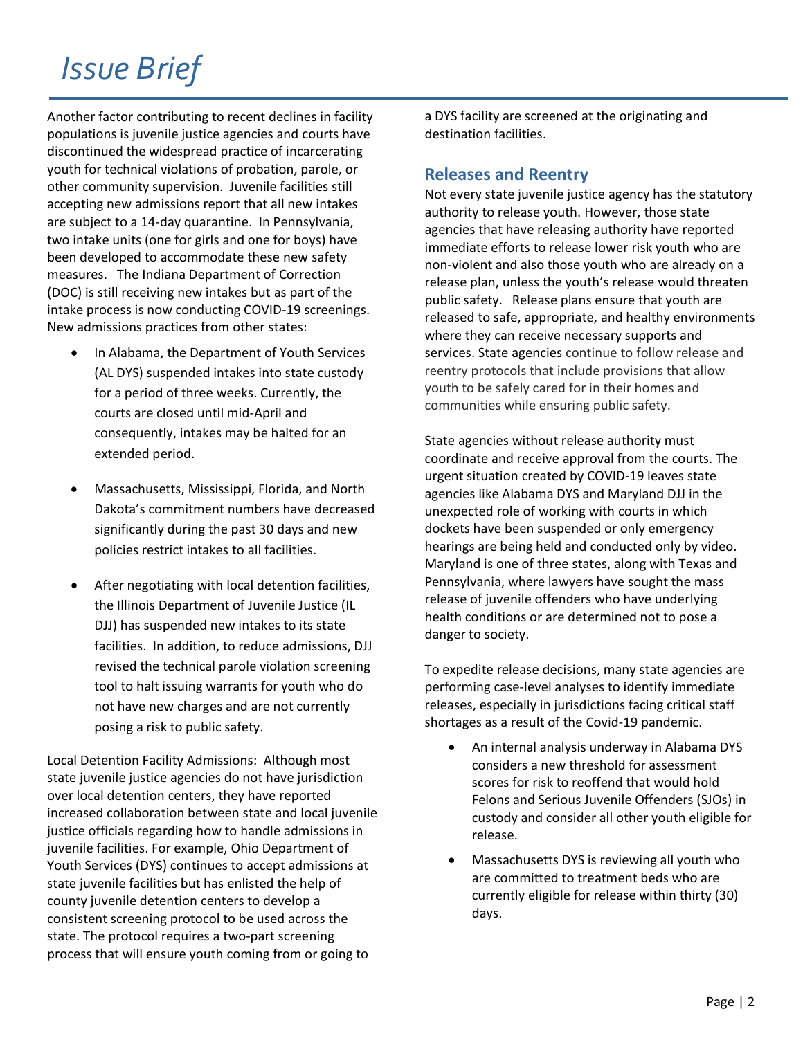Another factor contributing to recent declines in facility populations is juvenile justice agencies and courts have discontinued the widespread practice of incarcerating youth for technical violations of probation, parole, or other community supervision. Juvenile facilities still accepting new admissions report that all new intakes are subject to a 14-day quarantine. In Pennsylvania, two intake units (one for girls and one for boys) have been developed to accommodate these new safety measures. The Indiana Department of Correction (DOC) is still receiving new intakes but as part of the intake process is now conducting COVID-19 screenings. New admissions practices from other states:

- In Alabama, the Department of Youth Services (AL DYS) suspended intakes into state custody for a period of three weeks. Currently, the courts are closed until mid-April and consequently, intakes may be halted for an extended period.
- Massachusetts, Mississippi, Florida, and North Dakota's commitment numbers have decreased significantly during the past 30 days and new policies restrict intakes to all facilities.
- After negotiating with local detention facilities, the Illinois Department of Juvenile Justice (IL DJJ) has suspended new intakes to its state facilities. In addition, to reduce admissions, DJJ revised the technical parole violation screening tool to halt issuing warrants for youth who do not have new charges and are not currently posing a risk to public safety.

Local Detention Facility Admissions: Although most state juvenile justice agencies do not have jurisdiction over local detention centers, they have reported increased collaboration between state and local juvenile justice officials regarding how to handle admissions in juvenile facilities. For example, Ohio Department of Youth Services (DYS) continues to accept admissions at state juvenile facilities but has enlisted the help of county juvenile detention centers to develop a consistent screening protocol to be used across the state. The protocol requires a two-part screening process that will ensure youth coming from or going to

a DYS facility are screened at the originating and destination facilities.

### **Releases and Reentry**

Not every state juvenile justice agency has the statutory authority to release youth. However, those state agencies that have releasing authority have reported immediate efforts to release lower risk youth who are non-violent and also those youth who are already on a release plan, unless the youth's release would threaten public safety. Release plans ensure that youth are released to safe, appropriate, and healthy environments where they can receive necessary supports and services. State agencies continue to follow release and reentry protocols that include provisions that allow youth to be safely cared for in their homes and communities while ensuring public safety.

State agencies without release authority must coordinate and receive approval from the courts. The urgent situation created by COVID-19 leaves state agencies like Alabama DYS and Maryland DJJ in the unexpected role of working with courts in which dockets have been suspended or only emergency hearings are being held and conducted only by video. Maryland is one of three states, along with Texas and Pennsylvania, where lawyers have sought the mass release of juvenile offenders who have underlying health conditions or are determined not to pose a danger to society.

To expedite release decisions, many state agencies are performing case-level analyses to identify immediate releases, especially in jurisdictions facing critical staff shortages as a result of the Covid-19 pandemic.

- An internal analysis underway in Alabama DYS considers a new threshold for assessment scores for risk to reoffend that would hold Felons and Serious Juvenile Offenders (SJOs) in custody and consider all other youth eligible for release.
- Massachusetts DYS is reviewing all youth who are committed to treatment beds who are currently eligible for release within thirty (30) days.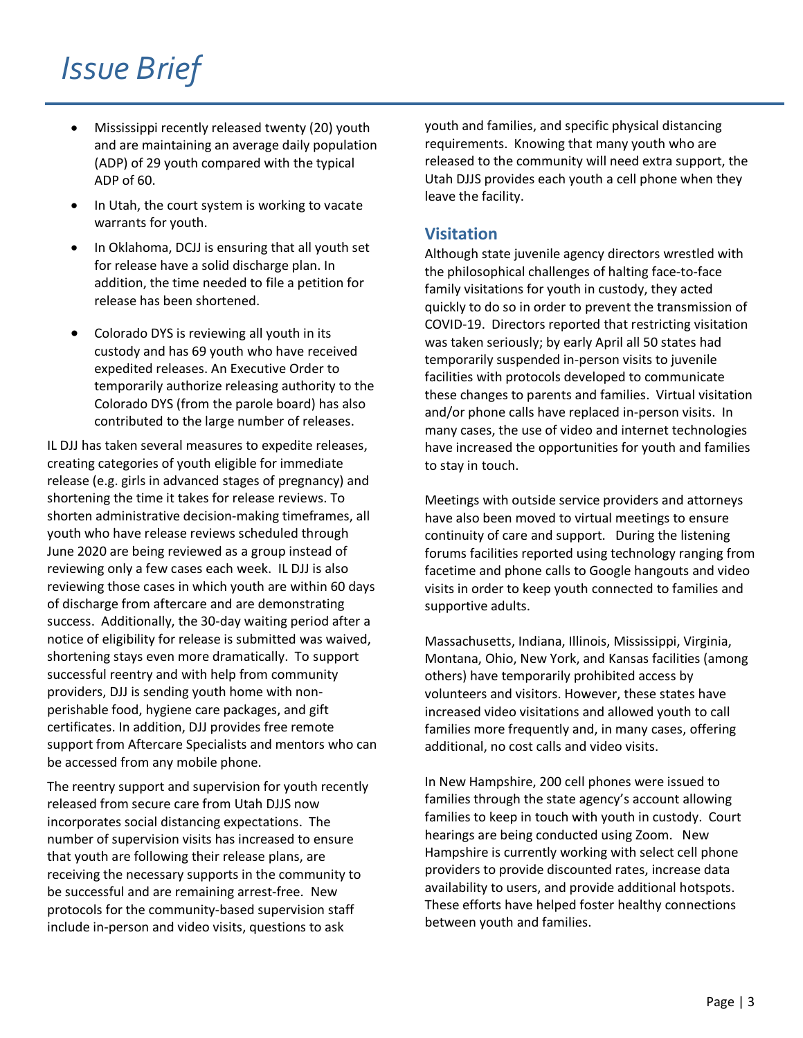- Mississippi recently released twenty (20) youth and are maintaining an average daily population (ADP) of 29 youth compared with the typical ADP of 60.
- In Utah, the court system is working to vacate warrants for youth.
- In Oklahoma, DCJJ is ensuring that all youth set for release have a solid discharge plan. In addition, the time needed to file a petition for release has been shortened.
- Colorado DYS is reviewing all youth in its custody and has 69 youth who have received expedited releases. An Executive Order to temporarily authorize releasing authority to the Colorado DYS (from the parole board) has also contributed to the large number of releases.

IL DJJ has taken several measures to expedite releases, creating categories of youth eligible for immediate release (e.g. girls in advanced stages of pregnancy) and shortening the time it takes for release reviews. To shorten administrative decision-making timeframes, all youth who have release reviews scheduled through June 2020 are being reviewed as a group instead of reviewing only a few cases each week. IL DJJ is also reviewing those cases in which youth are within 60 days of discharge from aftercare and are demonstrating success. Additionally, the 30-day waiting period after a notice of eligibility for release is submitted was waived, shortening stays even more dramatically. To support successful reentry and with help from community providers, DJJ is sending youth home with nonperishable food, hygiene care packages, and gift certificates. In addition, DJJ provides free remote support from Aftercare Specialists and mentors who can be accessed from any mobile phone.

The reentry support and supervision for youth recently released from secure care from Utah DJJS now incorporates social distancing expectations. The number of supervision visits has increased to ensure that youth are following their release plans, are receiving the necessary supports in the community to be successful and are remaining arrest-free. New protocols for the community-based supervision staff include in-person and video visits, questions to ask

youth and families, and specific physical distancing requirements. Knowing that many youth who are released to the community will need extra support, the Utah DJJS provides each youth a cell phone when they leave the facility.

## **Visitation**

Although state juvenile agency directors wrestled with the philosophical challenges of halting face-to-face family visitations for youth in custody, they acted quickly to do so in order to prevent the transmission of COVID-19. Directors reported that restricting visitation was taken seriously; by early April all 50 states had temporarily suspended in-person visits to juvenile facilities with protocols developed to communicate these changes to parents and families. Virtual visitation and/or phone calls have replaced in-person visits. In many cases, the use of video and internet technologies have increased the opportunities for youth and families to stay in touch.

Meetings with outside service providers and attorneys have also been moved to virtual meetings to ensure continuity of care and support. During the listening forums facilities reported using technology ranging from facetime and phone calls to Google hangouts and video visits in order to keep youth connected to families and supportive adults.

Massachusetts, Indiana, Illinois, Mississippi, Virginia, Montana, Ohio, New York, and Kansas facilities (among others) have temporarily prohibited access by volunteers and visitors. However, these states have increased video visitations and allowed youth to call families more frequently and, in many cases, offering additional, no cost calls and video visits.

In New Hampshire, 200 cell phones were issued to families through the state agency's account allowing families to keep in touch with youth in custody. Court hearings are being conducted using Zoom. New Hampshire is currently working with select cell phone providers to provide discounted rates, increase data availability to users, and provide additional hotspots. These efforts have helped foster healthy connections between youth and families.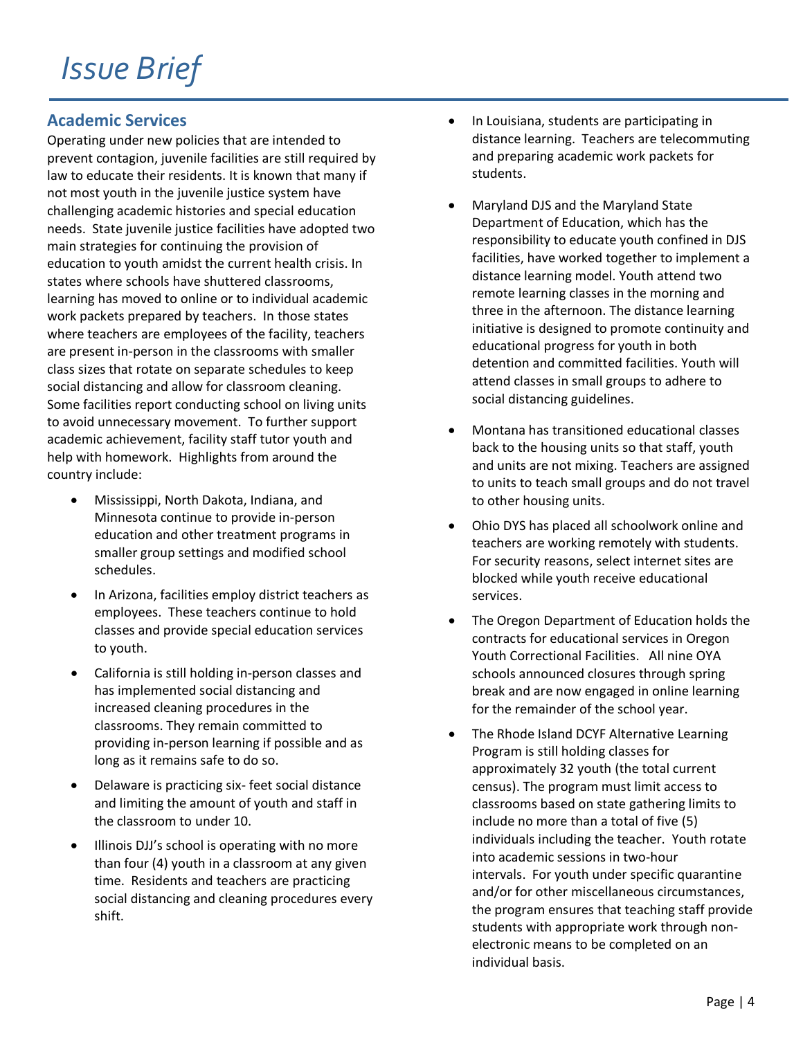## **Academic Services**

Operating under new policies that are intended to prevent contagion, juvenile facilities are still required by law to educate their residents. It is known that many if not most youth in the juvenile justice system have challenging academic histories and special education needs. State juvenile justice facilities have adopted two main strategies for continuing the provision of education to youth amidst the current health crisis. In states where schools have shuttered classrooms, learning has moved to online or to individual academic work packets prepared by teachers. In those states where teachers are employees of the facility, teachers are present in-person in the classrooms with smaller class sizes that rotate on separate schedules to keep social distancing and allow for classroom cleaning. Some facilities report conducting school on living units to avoid unnecessary movement. To further support academic achievement, facility staff tutor youth and help with homework. Highlights from around the country include:

- Mississippi, North Dakota, Indiana, and Minnesota continue to provide in-person education and other treatment programs in smaller group settings and modified school schedules.
- In Arizona, facilities employ district teachers as employees. These teachers continue to hold classes and provide special education services to youth.
- California is still holding in-person classes and has implemented social distancing and increased cleaning procedures in the classrooms. They remain committed to providing in-person learning if possible and as long as it remains safe to do so.
- Delaware is practicing six- feet social distance and limiting the amount of youth and staff in the classroom to under 10.
- Illinois DJJ's school is operating with no more than four (4) youth in a classroom at any given time. Residents and teachers are practicing social distancing and cleaning procedures every shift.
- In Louisiana, students are participating in distance learning. Teachers are telecommuting and preparing academic work packets for students.
- Maryland DJS and the Maryland State Department of Education, which has the responsibility to educate youth confined in DJS facilities, have worked together to implement a distance learning model. Youth attend two remote learning classes in the morning and three in the afternoon. The distance learning initiative is designed to promote continuity and educational progress for youth in both detention and committed facilities. Youth will attend classes in small groups to adhere to social distancing guidelines.
- Montana has transitioned educational classes back to the housing units so that staff, youth and units are not mixing. Teachers are assigned to units to teach small groups and do not travel to other housing units.
- Ohio DYS has placed all schoolwork online and teachers are working remotely with students. For security reasons, select internet sites are blocked while youth receive educational services.
- The Oregon Department of Education holds the contracts for educational services in Oregon Youth Correctional Facilities. All nine OYA schools announced closures through spring break and are now engaged in online learning for the remainder of the school year.
- The Rhode Island DCYF Alternative Learning Program is still holding classes for approximately 32 youth (the total current census). The program must limit access to classrooms based on state gathering limits to include no more than a total of five (5) individuals including the teacher. Youth rotate into academic sessions in two-hour intervals. For youth under specific quarantine and/or for other miscellaneous circumstances, the program ensures that teaching staff provide students with appropriate work through nonelectronic means to be completed on an individual basis.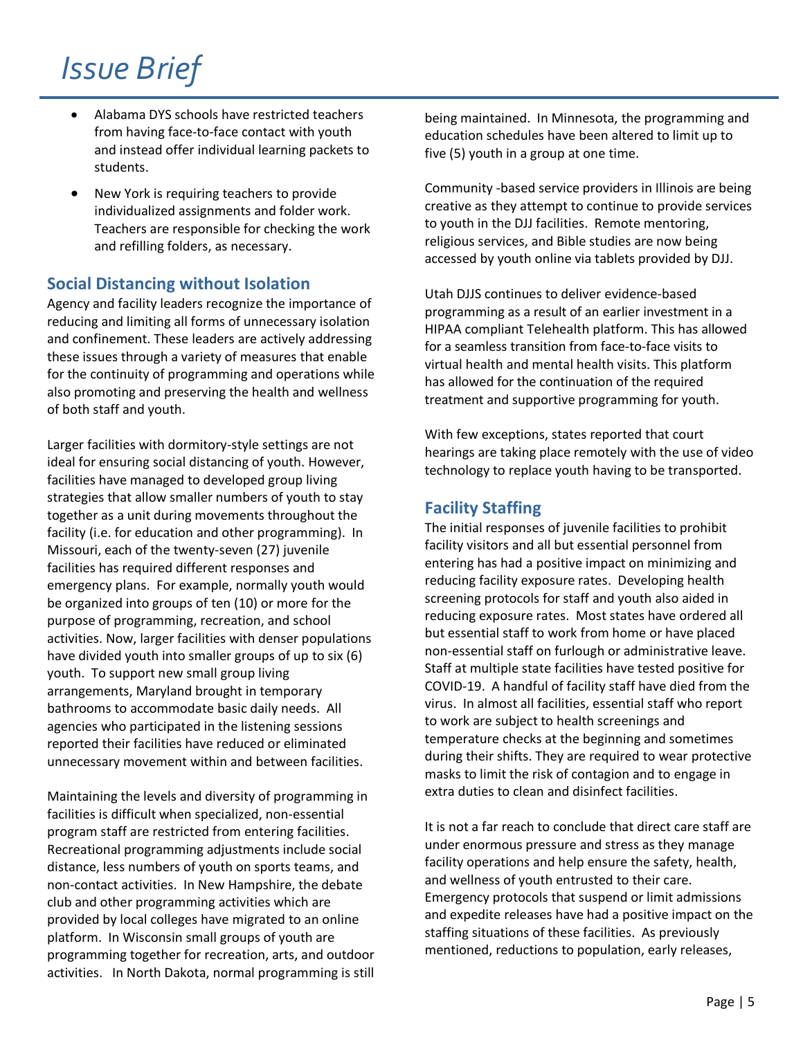- Alabama DYS schools have restricted teachers from having face-to-face contact with youth and instead offer individual learning packets to students.
- New York is requiring teachers to provide individualized assignments and folder work. Teachers are responsible for checking the work and refilling folders, as necessary.

### **Social Distancing without Isolation**

Agency and facility leaders recognize the importance of reducing and limiting all forms of unnecessary isolation and confinement. These leaders are actively addressing these issues through a variety of measures that enable for the continuity of programming and operations while also promoting and preserving the health and wellness of both staff and youth.

Larger facilities with dormitory-style settings are not ideal for ensuring social distancing of youth. However, facilities have managed to developed group living strategies that allow smaller numbers of youth to stay together as a unit during movements throughout the facility (i.e. for education and other programming). In Missouri, each of the twenty-seven (27) juvenile facilities has required different responses and emergency plans. For example, normally youth would be organized into groups of ten (10) or more for the purpose of programming, recreation, and school activities. Now, larger facilities with denser populations have divided youth into smaller groups of up to six (6) youth. To support new small group living arrangements, Maryland brought in temporary bathrooms to accommodate basic daily needs. All agencies who participated in the listening sessions reported their facilities have reduced or eliminated unnecessary movement within and between facilities.

Maintaining the levels and diversity of programming in facilities is difficult when specialized, non-essential program staff are restricted from entering facilities. Recreational programming adjustments include social distance, less numbers of youth on sports teams, and non-contact activities. In New Hampshire, the debate club and other programming activities which are provided by local colleges have migrated to an online platform. In Wisconsin small groups of youth are programming together for recreation, arts, and outdoor activities. In North Dakota, normal programming is still

being maintained. In Minnesota, the programming and education schedules have been altered to limit up to five (5) youth in a group at one time.

Community -based service providers in Illinois are being creative as they attempt to continue to provide services to youth in the DJJ facilities. Remote mentoring, religious services, and Bible studies are now being accessed by youth online via tablets provided by DJJ.

Utah DJJS continues to deliver evidence-based programming as a result of an earlier investment in a HIPAA compliant Telehealth platform. This has allowed for a seamless transition from face-to-face visits to virtual health and mental health visits. This platform has allowed for the continuation of the required treatment and supportive programming for youth.

With few exceptions, states reported that court hearings are taking place remotely with the use of video technology to replace youth having to be transported.

## **Facility Staffing**

The initial responses of juvenile facilities to prohibit facility visitors and all but essential personnel from entering has had a positive impact on minimizing and reducing facility exposure rates. Developing health screening protocols for staff and youth also aided in reducing exposure rates. Most states have ordered all but essential staff to work from home or have placed non-essential staff on furlough or administrative leave. Staff at multiple state facilities have tested positive for COVID-19. A handful of facility staff have died from the virus. In almost all facilities, essential staff who report to work are subject to health screenings and temperature checks at the beginning and sometimes during their shifts. They are required to wear protective masks to limit the risk of contagion and to engage in extra duties to clean and disinfect facilities.

It is not a far reach to conclude that direct care staff are under enormous pressure and stress as they manage facility operations and help ensure the safety, health, and wellness of youth entrusted to their care. Emergency protocols that suspend or limit admissions and expedite releases have had a positive impact on the staffing situations of these facilities. As previously mentioned, reductions to population, early releases,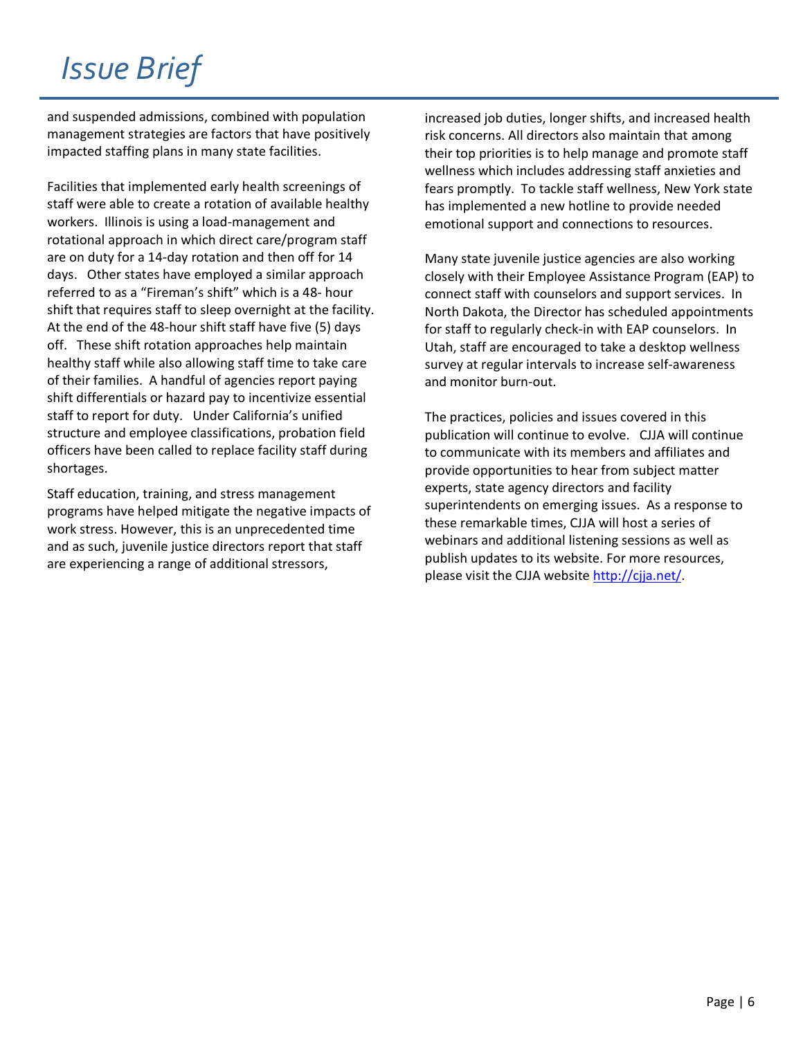and suspended admissions, combined with population management strategies are factors that have positively impacted staffing plans in many state facilities.

Facilities that implemented early health screenings of staff were able to create a rotation of available healthy workers. Illinois is using a load-management and rotational approach in which direct care/program staff are on duty for a 14-day rotation and then off for 14 days. Other states have employed a similar approach referred to as a "Fireman's shift" which is a 48- hour shift that requires staff to sleep overnight at the facility. At the end of the 48-hour shift staff have five (5) days off. These shift rotation approaches help maintain healthy staff while also allowing staff time to take care of their families. A handful of agencies report paying shift differentials or hazard pay to incentivize essential staff to report for duty. Under California's unified structure and employee classifications, probation field officers have been called to replace facility staff during shortages.

Staff education, training, and stress management programs have helped mitigate the negative impacts of work stress. However, this is an unprecedented time and as such, juvenile justice directors report that staff are experiencing a range of additional stressors,

increased job duties, longer shifts, and increased health risk concerns. All directors also maintain that among their top priorities is to help manage and promote staff wellness which includes addressing staff anxieties and fears promptly. To tackle staff wellness, New York state has implemented a new hotline to provide needed emotional support and connections to resources.

Many state juvenile justice agencies are also working closely with their Employee Assistance Program (EAP) to connect staff with counselors and support services. In North Dakota, the Director has scheduled appointments for staff to regularly check-in with EAP counselors. In Utah, staff are encouraged to take a desktop wellness survey at regular intervals to increase self-awareness and monitor burn-out.

The practices, policies and issues covered in this publication will continue to evolve. CJJA will continue to communicate with its members and affiliates and provide opportunities to hear from subject matter experts, state agency directors and facility superintendents on emerging issues. As a response to these remarkable times, CJJA will host a series of webinars and additional listening sessions as well as publish updates to its website. For more resources, please visit the CJJA website [http://cjja.net/.](http://cjja.net/)